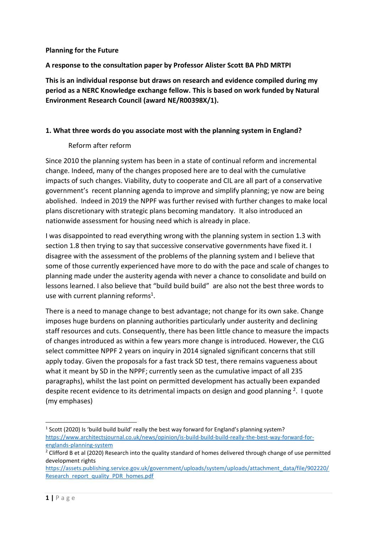#### **Planning for the Future**

#### **A response to the consultation paper by Professor Alister Scott BA PhD MRTPI**

**This is an individual response but draws on research and evidence compiled during my period as a NERC Knowledge exchange fellow. This is based on work funded by Natural Environment Research Council (award NE/R00398X/1).** 

#### **1. What three words do you associate most with the planning system in England?**

#### Reform after reform

Since 2010 the planning system has been in a state of continual reform and incremental change. Indeed, many of the changes proposed here are to deal with the cumulative impacts of such changes. Viability, duty to cooperate and CIL are all part of a conservative government's recent planning agenda to improve and simplify planning; ye now are being abolished. Indeed in 2019 the NPPF was further revised with further changes to make local plans discretionary with strategic plans becoming mandatory. It also introduced an nationwide assessment for housing need which is already in place.

I was disappointed to read everything wrong with the planning system in section 1.3 with section 1.8 then trying to say that successive conservative governments have fixed it. I disagree with the assessment of the problems of the planning system and I believe that some of those currently experienced have more to do with the pace and scale of changes to planning made under the austerity agenda with never a chance to consolidate and build on lessons learned. I also believe that "build build build" are also not the best three words to use with current planning reforms<sup>1</sup>.

There is a need to manage change to best advantage; not change for its own sake. Change imposes huge burdens on planning authorities particularly under austerity and declining staff resources and cuts. Consequently, there has been little chance to measure the impacts of changes introduced as within a few years more change is introduced. However, the CLG select committee NPPF 2 years on inquiry in 2014 signaled significant concerns that still apply today. Given the proposals for a fast track SD test, there remains vagueness about what it meant by SD in the NPPF; currently seen as the cumulative impact of all 235 paragraphs), whilst the last point on permitted development has actually been expanded despite recent evidence to its detrimental impacts on design and good planning  $2$ . I quote (my emphases)

<sup>&</sup>lt;sup>1</sup> Scott (2020) Is 'build build build' really the best way forward for England's planning system? [https://www.architectsjournal.co.uk/news/opinion/is-build-build-build-really-the-best-way-forward-for](https://www.architectsjournal.co.uk/news/opinion/is-build-build-build-really-the-best-way-forward-for-englands-planning-system)[englands-planning-system](https://www.architectsjournal.co.uk/news/opinion/is-build-build-build-really-the-best-way-forward-for-englands-planning-system)

<sup>&</sup>lt;sup>2</sup> Clifford B et al (2020) Research into the quality standard of homes delivered through change of use permitted development rights

[https://assets.publishing.service.gov.uk/government/uploads/system/uploads/attachment\\_data/file/902220/](https://assets.publishing.service.gov.uk/government/uploads/system/uploads/attachment_data/file/902220/Research_report_quality_PDR_homes.pdf) [Research\\_report\\_quality\\_PDR\\_homes.pdf](https://assets.publishing.service.gov.uk/government/uploads/system/uploads/attachment_data/file/902220/Research_report_quality_PDR_homes.pdf)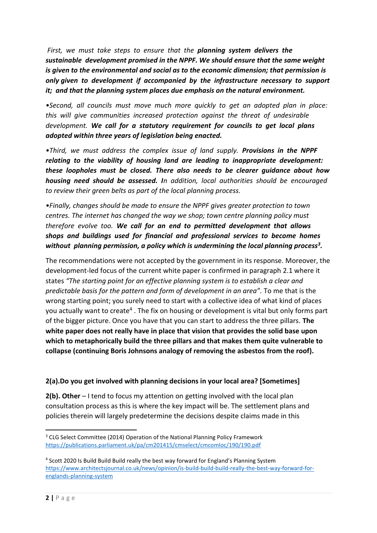*First, we must take steps to ensure that the planning system delivers the sustainable development promised in the NPPF. We should ensure that the same weight is given to the environmental and social as to the economic dimension; that permission is only given to development if accompanied by the infrastructure necessary to support it; and that the planning system places due emphasis on the natural environment.*

*•Second, all councils must move much more quickly to get an adopted plan in place: this will give communities increased protection against the threat of undesirable development. We call for a statutory requirement for councils to get local plans adopted within three years of legislation being enacted.*

*•Third, we must address the complex issue of land supply. Provisions in the NPPF relating to the viability of housing land are leading to inappropriate development: these loopholes must be closed. There also needs to be clearer guidance about how housing need should be assessed. In addition, local authorities should be encouraged to review their green belts as part of the local planning process.*

*•Finally, changes should be made to ensure the NPPF gives greater protection to town centres. The internet has changed the way we shop; town centre planning policy must therefore evolve too. We call for an end to permitted development that allows shops and buildings used for financial and professional services to become homes without planning permission, a policy which is undermining the local planning process<sup>3</sup> .*

The recommendations were not accepted by the government in its response. Moreover, the development-led focus of the current white paper is confirmed in paragraph 2.1 where it states *"The starting point for an effective planning system is to establish a clear and predictable basis for the pattern and form of development in an area".* To me that is the wrong starting point; you surely need to start with a collective idea of what kind of places you actually want to create<sup>4</sup>. The fix on housing or development is vital but only forms part of the bigger picture. Once you have that you can start to address the three pillars. **The white paper does not really have in place that vision that provides the solid base upon which to metaphorically build the three pillars and that makes them quite vulnerable to collapse (continuing Boris Johnsons analogy of removing the asbestos from the roof).** 

#### **2(a).Do you get involved with planning decisions in your local area? [Sometimes]**

**2(b). Other** – I tend to focus my attention on getting involved with the local plan consultation process as this is where the key impact will be. The settlement plans and policies therein will largely predetermine the decisions despite claims made in this

<sup>&</sup>lt;sup>3</sup> CLG Select Committee (2014) Operation of the National Planning Policy Framework <https://publications.parliament.uk/pa/cm201415/cmselect/cmcomloc/190/190.pdf>

<sup>&</sup>lt;sup>4</sup> Scott 2020 Is Build Build Build really the best way forward for England's Planning System [https://www.architectsjournal.co.uk/news/opinion/is-build-build-build-really-the-best-way-forward-for](https://www.architectsjournal.co.uk/news/opinion/is-build-build-build-really-the-best-way-forward-for-englands-planning-system)[englands-planning-system](https://www.architectsjournal.co.uk/news/opinion/is-build-build-build-really-the-best-way-forward-for-englands-planning-system)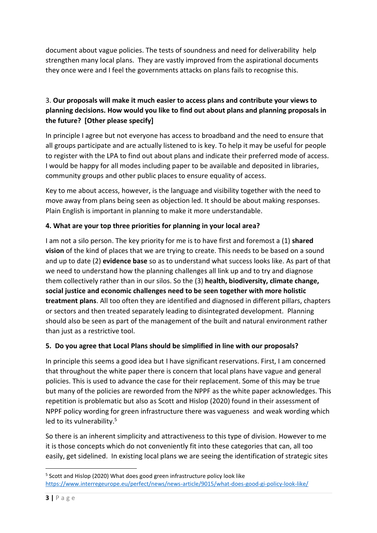document about vague policies. The tests of soundness and need for deliverability help strengthen many local plans. They are vastly improved from the aspirational documents they once were and I feel the governments attacks on plans fails to recognise this.

# 3. **Our proposals will make it much easier to access plans and contribute your views to planning decisions. How would you like to find out about plans and planning proposals in the future? [Other please specify]**

In principle I agree but not everyone has access to broadband and the need to ensure that all groups participate and are actually listened to is key. To help it may be useful for people to register with the LPA to find out about plans and indicate their preferred mode of access. I would be happy for all modes including paper to be available and deposited in libraries, community groups and other public places to ensure equality of access.

Key to me about access, however, is the language and visibility together with the need to move away from plans being seen as objection led. It should be about making responses. Plain English is important in planning to make it more understandable.

## **4. What are your top three priorities for planning in your local area?**

I am not a silo person. The key priority for me is to have first and foremost a (1) **shared vision** of the kind of places that we are trying to create. This needs to be based on a sound and up to date (2) **evidence base** so as to understand what success looks like. As part of that we need to understand how the planning challenges all link up and to try and diagnose them collectively rather than in our silos. So the (3) **health, biodiversity, climate change, social justice and economic challenges need to be seen together with more holistic treatment plans**. All too often they are identified and diagnosed in different pillars, chapters or sectors and then treated separately leading to disintegrated development. Planning should also be seen as part of the management of the built and natural environment rather than just as a restrictive tool.

## **5. Do you agree that Local Plans should be simplified in line with our proposals?**

In principle this seems a good idea but I have significant reservations. First, I am concerned that throughout the white paper there is concern that local plans have vague and general policies. This is used to advance the case for their replacement. Some of this may be true but many of the policies are reworded from the NPPF as the white paper acknowledges. This repetition is problematic but also as Scott and Hislop (2020) found in their assessment of NPPF policy wording for green infrastructure there was vagueness and weak wording which led to its vulnerability. 5

So there is an inherent simplicity and attractiveness to this type of division. However to me it is those concepts which do not conveniently fit into these categories that can, all too easily, get sidelined. In existing local plans we are seeing the identification of strategic sites

<sup>&</sup>lt;sup>5</sup> Scott and Hislop (2020) What does good green infrastructure policy look like <https://www.interregeurope.eu/perfect/news/news-article/9015/what-does-good-gi-policy-look-like/>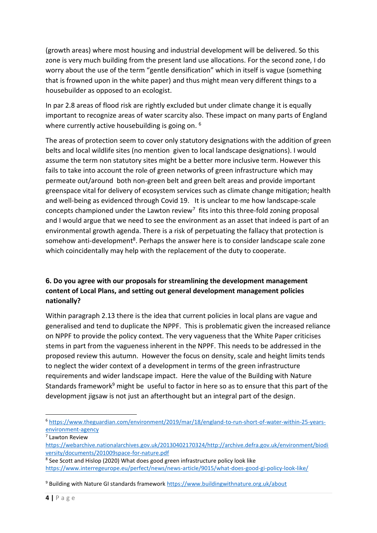(growth areas) where most housing and industrial development will be delivered. So this zone is very much building from the present land use allocations. For the second zone, I do worry about the use of the term "gentle densification" which in itself is vague (something that is frowned upon in the white paper) and thus might mean very different things to a housebuilder as opposed to an ecologist.

In par 2.8 areas of flood risk are rightly excluded but under climate change it is equally important to recognize areas of water scarcity also. These impact on many parts of England where currently active housebuilding is going on. <sup>6</sup>

The areas of protection seem to cover only statutory designations with the addition of green belts and local wildlife sites (no mention given to local landscape designations). I would assume the term non statutory sites might be a better more inclusive term. However this fails to take into account the role of green networks of green infrastructure which may permeate out/around both non-green belt and green belt areas and provide important greenspace vital for delivery of ecosystem services such as climate change mitigation; health and well-being as evidenced through Covid 19. It is unclear to me how landscape-scale concepts championed under the Lawton review<sup>7</sup> fits into this three-fold zoning proposal and I would argue that we need to see the environment as an asset that indeed is part of an environmental growth agenda. There is a risk of perpetuating the fallacy that protection is somehow anti-development<sup>8</sup>. Perhaps the answer here is to consider landscape scale zone which coincidentally may help with the replacement of the duty to cooperate.

## **6. Do you agree with our proposals for streamlining the development management content of Local Plans, and setting out general development management policies nationally?**

Within paragraph 2.13 there is the idea that current policies in local plans are vague and generalised and tend to duplicate the NPPF. This is problematic given the increased reliance on NPPF to provide the policy context. The very vagueness that the White Paper criticises stems in part from the vagueness inherent in the NPPF. This needs to be addressed in the proposed review this autumn. However the focus on density, scale and height limits tends to neglect the wider context of a development in terms of the green infrastructure requirements and wider landscape impact. Here the value of the Building with Nature Standards framework<sup>9</sup> might be useful to factor in here so as to ensure that this part of the development jigsaw is not just an afterthought but an integral part of the design.

<sup>6</sup> [https://www.theguardian.com/environment/2019/mar/18/england-to-run-short-of-water-within-25-years](https://www.theguardian.com/environment/2019/mar/18/england-to-run-short-of-water-within-25-years-environment-agency)[environment-agency](https://www.theguardian.com/environment/2019/mar/18/england-to-run-short-of-water-within-25-years-environment-agency)

<sup>7</sup> Lawton Review

[https://webarchive.nationalarchives.gov.uk/20130402170324/http://archive.defra.gov.uk/environment/biodi](https://webarchive.nationalarchives.gov.uk/20130402170324/http:/archive.defra.gov.uk/environment/biodiversity/documents/201009space-for-nature.pdf) [versity/documents/201009space-for-nature.pdf](https://webarchive.nationalarchives.gov.uk/20130402170324/http:/archive.defra.gov.uk/environment/biodiversity/documents/201009space-for-nature.pdf)

<sup>&</sup>lt;sup>8</sup> See Scott and Hislop (2020) What does good green infrastructure policy look like <https://www.interregeurope.eu/perfect/news/news-article/9015/what-does-good-gi-policy-look-like/>

<sup>9</sup> Building with Nature GI standards framework<https://www.buildingwithnature.org.uk/about>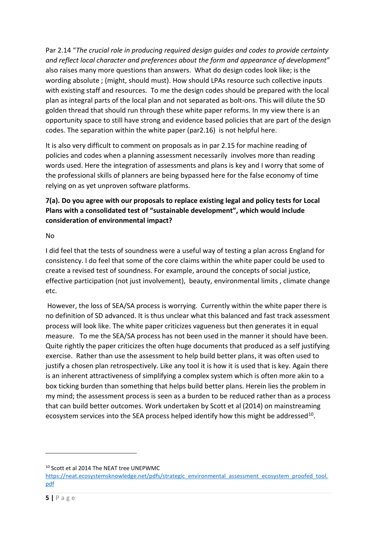Par 2.14 "*The crucial role in producing required design guides and codes to provide certainty and reflect local character and preferences about the form and appearance of development*" also raises many more questions than answers. What do design codes look like; is the wording absolute ; (might, should must). How should LPAs resource such collective inputs with existing staff and resources. To me the design codes should be prepared with the local plan as integral parts of the local plan and not separated as bolt-ons. This will dilute the SD golden thread that should run through these white paper reforms. In my view there is an opportunity space to still have strong and evidence based policies that are part of the design codes. The separation within the white paper (par2.16) is not helpful here.

It is also very difficult to comment on proposals as in par 2.15 for machine reading of policies and codes when a planning assessment necessarily involves more than reading words used. Here the integration of assessments and plans is key and I worry that some of the professional skills of planners are being bypassed here for the false economy of time relying on as yet unproven software platforms.

## **7(a). Do you agree with our proposals to replace existing legal and policy tests for Local Plans with a consolidated test of "sustainable development", which would include consideration of environmental impact?**

No

I did feel that the tests of soundness were a useful way of testing a plan across England for consistency. I do feel that some of the core claims within the white paper could be used to create a revised test of soundness. For example, around the concepts of social justice, effective participation (not just involvement), beauty, environmental limits , climate change etc.

However, the loss of SEA/SA process is worrying. Currently within the white paper there is no definition of SD advanced. It is thus unclear what this balanced and fast track assessment process will look like. The white paper criticizes vagueness but then generates it in equal measure. To me the SEA/SA process has not been used in the manner it should have been. Quite rightly the paper criticizes the often huge documents that produced as a self justifying exercise. Rather than use the assessment to help build better plans, it was often used to justify a chosen plan retrospectively. Like any tool it is how it is used that is key. Again there is an inherent attractiveness of simplifying a complex system which is often more akin to a box ticking burden than something that helps build better plans. Herein lies the problem in my mind; the assessment process is seen as a burden to be reduced rather than as a process that can build better outcomes. Work undertaken by Scott et al (2014) on mainstreaming ecosystem services into the SEA process helped identify how this might be addressed<sup>10</sup>.

<sup>10</sup> Scott et al 2014 The NEAT tree UNEPWMC

[https://neat.ecosystemsknowledge.net/pdfs/strategic\\_environmental\\_assessment\\_ecosystem\\_proofed\\_tool.](https://neat.ecosystemsknowledge.net/pdfs/strategic_environmental_assessment_ecosystem_proofed_tool.pdf) [pdf](https://neat.ecosystemsknowledge.net/pdfs/strategic_environmental_assessment_ecosystem_proofed_tool.pdf)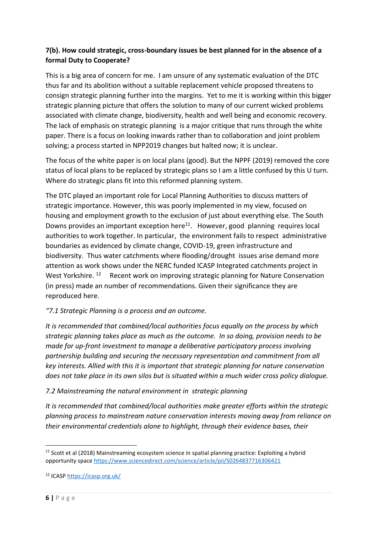## **7(b). How could strategic, cross-boundary issues be best planned for in the absence of a formal Duty to Cooperate?**

This is a big area of concern for me. I am unsure of any systematic evaluation of the DTC thus far and its abolition without a suitable replacement vehicle proposed threatens to consign strategic planning further into the margins. Yet to me it is working within this bigger strategic planning picture that offers the solution to many of our current wicked problems associated with climate change, biodiversity, health and well being and economic recovery. The lack of emphasis on strategic planning is a major critique that runs through the white paper. There is a focus on looking inwards rather than to collaboration and joint problem solving; a process started in NPP2019 changes but halted now; it is unclear.

The focus of the white paper is on local plans (good). But the NPPF (2019) removed the core status of local plans to be replaced by strategic plans so I am a little confused by this U turn. Where do strategic plans fit into this reformed planning system.

The DTC played an important role for Local Planning Authorities to discuss matters of strategic importance. However, this was poorly implemented in my view, focused on housing and employment growth to the exclusion of just about everything else. The South Downs provides an important exception here<sup>11</sup>. However, good planning requires local authorities to work together. In particular, the environment fails to respect administrative boundaries as evidenced by climate change, COVID-19, green infrastructure and biodiversity. Thus water catchments where flooding/drought issues arise demand more attention as work shows under the NERC funded ICASP Integrated catchments project in West Yorkshire. <sup>12</sup> Recent work on improving strategic planning for Nature Conservation (in press) made an number of recommendations. Given their significance they are reproduced here.

## *"7.1 Strategic Planning is a process and an outcome.*

*It is recommended that combined/local authorities focus equally on the process by which strategic planning takes place as much as the outcome. In so doing, provision needs to be made for up-front investment to manage a deliberative participatory process involving partnership building and securing the necessary representation and commitment from all key interests. Allied with this it is important that strategic planning for nature conservation does not take place in its own silos but is situated within a much wider cross policy dialogue.* 

## *7.2 Mainstreaming the natural environment in strategic planning*

*It is recommended that combined/local authorities make greater efforts within the strategic planning process to mainstream nature conservation interests moving away from reliance on their environmental credentials alone to highlight, through their evidence bases, their* 

<sup>&</sup>lt;sup>11</sup> Scott et al (2018) Mainstreaming ecosystem science in spatial planning practice: Exploiting a hybrid opportunity space <https://www.sciencedirect.com/science/article/pii/S0264837716306421>

<sup>12</sup> ICAS[P https://icasp.org.uk/](https://icasp.org.uk/)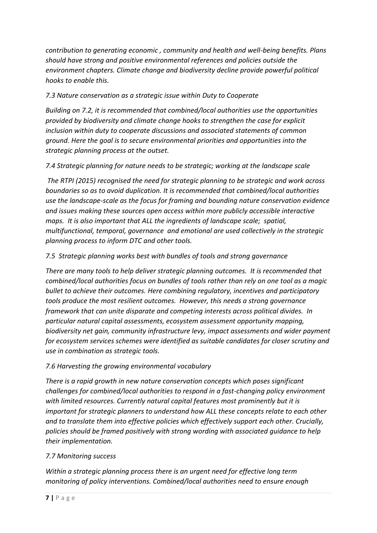*contribution to generating economic , community and health and well-being benefits. Plans should have strong and positive environmental references and policies outside the environment chapters. Climate change and biodiversity decline provide powerful political hooks to enable this.* 

# *7.3 Nature conservation as a strategic issue within Duty to Cooperate*

*Building on 7.2, it is recommended that combined/local authorities use the opportunities provided by biodiversity and climate change hooks to strengthen the case for explicit inclusion within duty to cooperate discussions and associated statements of common ground. Here the goal is to secure environmental priorities and opportunities into the strategic planning process at the outset.* 

*7.4 Strategic planning for nature needs to be strategic; working at the landscape scale*

*The RTPI (2015) recognised the need for strategic planning to be strategic and work across boundaries so as to avoid duplication. It is recommended that combined/local authorities use the landscape-scale as the focus for framing and bounding nature conservation evidence and issues making these sources open access within more publicly accessible interactive maps. It is also important that ALL the ingredients of landscape scale; spatial, multifunctional, temporal, governance and emotional are used collectively in the strategic planning process to inform DTC and other tools.* 

## *7.5 Strategic planning works best with bundles of tools and strong governance*

*There are many tools to help deliver strategic planning outcomes. It is recommended that combined/local authorities focus on bundles of tools rather than rely on one tool as a magic bullet to achieve their outcomes. Here combining regulatory, incentives and participatory tools produce the most resilient outcomes. However, this needs a strong governance framework that can unite disparate and competing interests across political divides. In particular natural capital assessments, ecosystem assessment opportunity mapping, biodiversity net gain, community infrastructure levy, impact assessments and wider payment for ecosystem services schemes were identified as suitable candidates for closer scrutiny and use in combination as strategic tools.* 

## *7.6 Harvesting the growing environmental vocabulary*

*There is a rapid growth in new nature conservation concepts which poses significant challenges for combined/local authorities to respond in a fast-changing policy environment with limited resources. Currently natural capital features most prominently but it is important for strategic planners to understand how ALL these concepts relate to each other and to translate them into effective policies which effectively support each other. Crucially, policies should be framed positively with strong wording with associated guidance to help their implementation.* 

## *7.7 Monitoring success*

*Within a strategic planning process there is an urgent need for effective long term monitoring of policy interventions. Combined/local authorities need to ensure enough*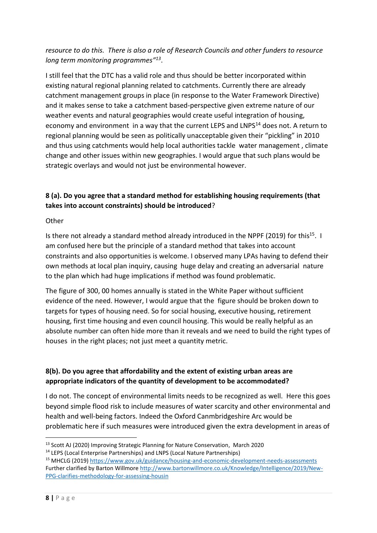## *resource to do this. There is also a role of Research Councils and other funders to resource long term monitoring programmes" 13* .

I still feel that the DTC has a valid role and thus should be better incorporated within existing natural regional planning related to catchments. Currently there are already catchment management groups in place (in response to the Water Framework Directive) and it makes sense to take a catchment based-perspective given extreme nature of our weather events and natural geographies would create useful integration of housing, economy and environment in a way that the current LEPS and LNPS<sup>14</sup> does not. A return to regional planning would be seen as politically unacceptable given their "pickling" in 2010 and thus using catchments would help local authorities tackle water management , climate change and other issues within new geographies. I would argue that such plans would be strategic overlays and would not just be environmental however.

## **8 (a). Do you agree that a standard method for establishing housing requirements (that takes into account constraints) should be introduced**?

#### **Other**

Is there not already a standard method already introduced in the NPPF (2019) for this<sup>15</sup>. I am confused here but the principle of a standard method that takes into account constraints and also opportunities is welcome. I observed many LPAs having to defend their own methods at local plan inquiry, causing huge delay and creating an adversarial nature to the plan which had huge implications if method was found problematic.

The figure of 300, 00 homes annually is stated in the White Paper without sufficient evidence of the need. However, I would argue that the figure should be broken down to targets for types of housing need. So for social housing, executive housing, retirement housing, first time housing and even council housing. This would be really helpful as an absolute number can often hide more than it reveals and we need to build the right types of houses in the right places; not just meet a quantity metric.

## **8(b). Do you agree that affordability and the extent of existing urban areas are appropriate indicators of the quantity of development to be accommodated?**

I do not. The concept of environmental limits needs to be recognized as well. Here this goes beyond simple flood risk to include measures of water scarcity and other environmental and health and well-being factors. Indeed the Oxford Canmbridgeshire Arc would be problematic here if such measures were introduced given the extra development in areas of

<sup>13</sup> Scott AJ (2020) Improving Strategic Planning for Nature Conservation, March 2020

<sup>14</sup> LEPS (Local Enterprise Partnerships) and LNPS (Local Nature Partnerships)

<sup>15</sup> MHCLG (2019)<https://www.gov.uk/guidance/housing-and-economic-development-needs-assessments> Further clarified by Barton Willmore [http://www.bartonwillmore.co.uk/Knowledge/Intelligence/2019/New-](http://www.bartonwillmore.co.uk/Knowledge/Intelligence/2019/New-PPG-clarifies-methodology-for-assessing-housin)[PPG-clarifies-methodology-for-assessing-housin](http://www.bartonwillmore.co.uk/Knowledge/Intelligence/2019/New-PPG-clarifies-methodology-for-assessing-housin)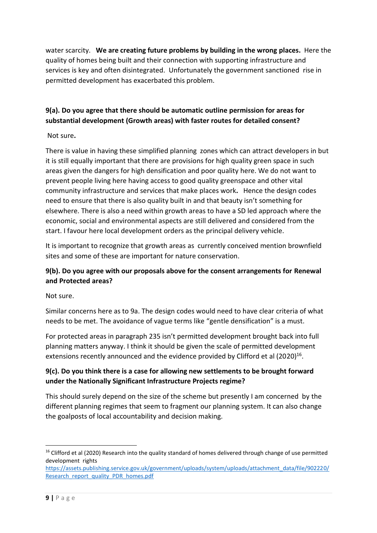water scarcity. **We are creating future problems by building in the wrong places.** Here the quality of homes being built and their connection with supporting infrastructure and services is key and often disintegrated. Unfortunately the government sanctioned rise in permitted development has exacerbated this problem.

# **9(a). Do you agree that there should be automatic outline permission for areas for substantial development (Growth areas) with faster routes for detailed consent?**

## Not sure**.**

There is value in having these simplified planning zones which can attract developers in but it is still equally important that there are provisions for high quality green space in such areas given the dangers for high densification and poor quality here. We do not want to prevent people living here having access to good quality greenspace and other vital community infrastructure and services that make places work**.** Hence the design codes need to ensure that there is also quality built in and that beauty isn't something for elsewhere. There is also a need within growth areas to have a SD led approach where the economic, social and environmental aspects are still delivered and considered from the start. I favour here local development orders as the principal delivery vehicle.

It is important to recognize that growth areas as currently conceived mention brownfield sites and some of these are important for nature conservation.

## **9(b). Do you agree with our proposals above for the consent arrangements for Renewal and Protected areas?**

Not sure.

Similar concerns here as to 9a. The design codes would need to have clear criteria of what needs to be met. The avoidance of vague terms like "gentle densification" is a must.

For protected areas in paragraph 235 isn't permitted development brought back into full planning matters anyway. I think it should be given the scale of permitted development extensions recently announced and the evidence provided by Clifford et al (2020)<sup>16</sup>.

## **9(c). Do you think there is a case for allowing new settlements to be brought forward under the Nationally Significant Infrastructure Projects regime?**

This should surely depend on the size of the scheme but presently I am concerned by the different planning regimes that seem to fragment our planning system. It can also change the goalposts of local accountability and decision making.

<sup>&</sup>lt;sup>16</sup> Clifford et al (2020) Research into the quality standard of homes delivered through change of use permitted development rights

[https://assets.publishing.service.gov.uk/government/uploads/system/uploads/attachment\\_data/file/902220/](https://assets.publishing.service.gov.uk/government/uploads/system/uploads/attachment_data/file/902220/Research_report_quality_PDR_homes.pdf) [Research\\_report\\_quality\\_PDR\\_homes.pdf](https://assets.publishing.service.gov.uk/government/uploads/system/uploads/attachment_data/file/902220/Research_report_quality_PDR_homes.pdf)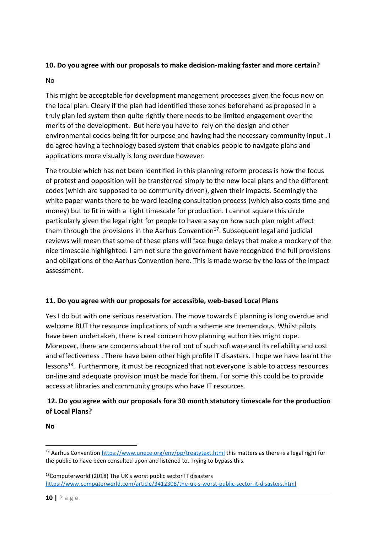## **10. Do you agree with our proposals to make decision-making faster and more certain?**

#### No

This might be acceptable for development management processes given the focus now on the local plan. Cleary if the plan had identified these zones beforehand as proposed in a truly plan led system then quite rightly there needs to be limited engagement over the merits of the development. But here you have to rely on the design and other environmental codes being fit for purpose and having had the necessary community input . I do agree having a technology based system that enables people to navigate plans and applications more visually is long overdue however.

The trouble which has not been identified in this planning reform process is how the focus of protest and opposition will be transferred simply to the new local plans and the different codes (which are supposed to be community driven), given their impacts. Seemingly the white paper wants there to be word leading consultation process (which also costs time and money) but to fit in with a tight timescale for production. I cannot square this circle particularly given the legal right for people to have a say on how such plan might affect them through the provisions in the Aarhus Convention $17$ . Subsequent legal and judicial reviews will mean that some of these plans will face huge delays that make a mockery of the nice timescale highlighted. I am not sure the government have recognized the full provisions and obligations of the Aarhus Convention here. This is made worse by the loss of the impact assessment.

## **11. Do you agree with our proposals for accessible, web-based Local Plans**

Yes I do but with one serious reservation. The move towards E planning is long overdue and welcome BUT the resource implications of such a scheme are tremendous. Whilst pilots have been undertaken, there is real concern how planning authorities might cope. Moreover, there are concerns about the roll out of such software and its reliability and cost and effectiveness . There have been other high profile IT disasters. I hope we have learnt the lessons<sup>18</sup>. Furthermore, it must be recognized that not everyone is able to access resources on-line and adequate provision must be made for them. For some this could be to provide access at libraries and community groups who have IT resources.

# **12. Do you agree with our proposals fora 30 month statutory timescale for the production of Local Plans?**

**No** 

<sup>17</sup> Aarhus Conventio[n https://www.unece.org/env/pp/treatytext.html](https://www.unece.org/env/pp/treatytext.html) this matters as there is a legal right for the public to have been consulted upon and listened to. Trying to bypass this.

<sup>18</sup>Computerworld (2018) The UK's worst public sector IT disasters <https://www.computerworld.com/article/3412308/the-uk-s-worst-public-sector-it-disasters.html>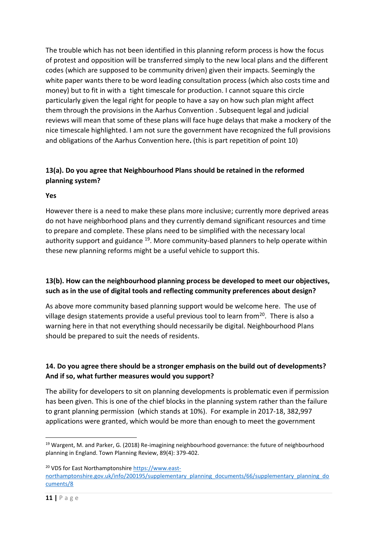The trouble which has not been identified in this planning reform process is how the focus of protest and opposition will be transferred simply to the new local plans and the different codes (which are supposed to be community driven) given their impacts. Seemingly the white paper wants there to be word leading consultation process (which also costs time and money) but to fit in with a tight timescale for production. I cannot square this circle particularly given the legal right for people to have a say on how such plan might affect them through the provisions in the Aarhus Convention . Subsequent legal and judicial reviews will mean that some of these plans will face huge delays that make a mockery of the nice timescale highlighted. I am not sure the government have recognized the full provisions and obligations of the Aarhus Convention here**.** (this is part repetition of point 10)

## **13(a). Do you agree that Neighbourhood Plans should be retained in the reformed planning system?**

#### **Yes**

However there is a need to make these plans more inclusive; currently more deprived areas do not have neighborhood plans and they currently demand significant resources and time to prepare and complete. These plans need to be simplified with the necessary local authority support and guidance <sup>19</sup>. More community-based planners to help operate within these new planning reforms might be a useful vehicle to support this.

## **13(b). How can the neighbourhood planning process be developed to meet our objectives, such as in the use of digital tools and reflecting community preferences about design?**

As above more community based planning support would be welcome here. The use of village design statements provide a useful previous tool to learn from<sup>20</sup>. There is also a warning here in that not everything should necessarily be digital. Neighbourhood Plans should be prepared to suit the needs of residents.

## **14. Do you agree there should be a stronger emphasis on the build out of developments? And if so, what further measures would you support?**

The ability for developers to sit on planning developments is problematic even if permission has been given. This is one of the chief blocks in the planning system rather than the failure to grant planning permission (which stands at 10%). For example in 2017-18, 382,997 applications were granted, which would be more than enough to meet the government

<sup>&</sup>lt;sup>19</sup> Wargent, M. and Parker, G. (2018) Re-imagining neighbourhood governance: the future of neighbourhood planning in England. Town Planning Review, 89(4): 379-402.

<sup>&</sup>lt;sup>20</sup> VDS for East Northamptonshir[e https://www.east](https://www.east-northamptonshire.gov.uk/info/200195/supplementary_planning_documents/66/supplementary_planning_documents/8)[northamptonshire.gov.uk/info/200195/supplementary\\_planning\\_documents/66/supplementary\\_planning\\_do](https://www.east-northamptonshire.gov.uk/info/200195/supplementary_planning_documents/66/supplementary_planning_documents/8) [cuments/8](https://www.east-northamptonshire.gov.uk/info/200195/supplementary_planning_documents/66/supplementary_planning_documents/8)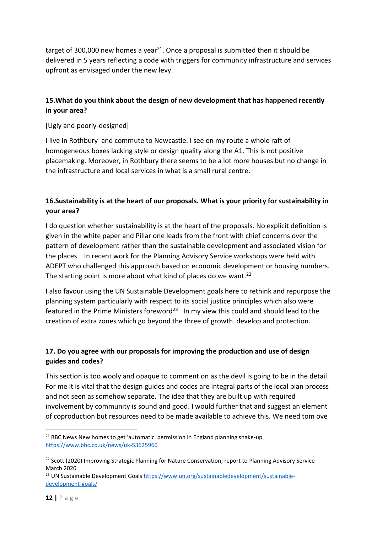target of 300,000 new homes a year<sup>21</sup>. Once a proposal is submitted then it should be delivered in 5 years reflecting a code with triggers for community infrastructure and services upfront as envisaged under the new levy.

## **15.What do you think about the design of new development that has happened recently in your area?**

[Ugly and poorly-designed]

I live in Rothbury and commute to Newcastle. I see on my route a whole raft of homogeneous boxes lacking style or design quality along the A1. This is not positive placemaking. Moreover, in Rothbury there seems to be a lot more houses but no change in the infrastructure and local services in what is a small rural centre.

# **16.Sustainability is at the heart of our proposals. What is your priority for sustainability in your area?**

I do question whether sustainability is at the heart of the proposals. No explicit definition is given in the white paper and Pillar one leads from the front with chief concerns over the pattern of development rather than the sustainable development and associated vision for the places. In recent work for the Planning Advisory Service workshops were held with ADEPT who challenged this approach based on economic development or housing numbers. The starting point is more about what kind of places do we want.<sup>22</sup>

I also favour using the UN Sustainable Development goals here to rethink and repurpose the planning system particularly with respect to its social justice principles which also were featured in the Prime Ministers foreword<sup>23</sup>. In my view this could and should lead to the creation of extra zones which go beyond the three of growth develop and protection.

## **17. Do you agree with our proposals for improving the production and use of design guides and codes?**

This section is too wooly and opaque to comment on as the devil is going to be in the detail. For me it is vital that the design guides and codes are integral parts of the local plan process and not seen as somehow separate. The idea that they are built up with required involvement by community is sound and good. I would further that and suggest an element of coproduction but resources need to be made available to achieve this. We need tom ove

 $21$  BBC News New homes to get 'automatic' permission in England planning shake-up <https://www.bbc.co.uk/news/uk-53625960>

<sup>&</sup>lt;sup>22</sup> Scott (2020) Improving Strategic Planning for Nature Conservation; report to Planning Advisory Service March 2020

<sup>&</sup>lt;sup>23</sup> UN Sustainable Development Goals [https://www.un.org/sustainabledevelopment/sustainable](https://www.un.org/sustainabledevelopment/sustainable-development-goals/)[development-goals/](https://www.un.org/sustainabledevelopment/sustainable-development-goals/)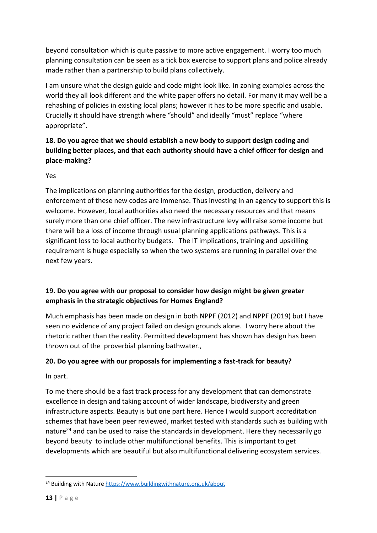beyond consultation which is quite passive to more active engagement. I worry too much planning consultation can be seen as a tick box exercise to support plans and police already made rather than a partnership to build plans collectively.

I am unsure what the design guide and code might look like. In zoning examples across the world they all look different and the white paper offers no detail. For many it may well be a rehashing of policies in existing local plans; however it has to be more specific and usable. Crucially it should have strength where "should" and ideally "must" replace "where appropriate".

# **18. Do you agree that we should establish a new body to support design coding and building better places, and that each authority should have a chief officer for design and place-making?**

#### Yes

The implications on planning authorities for the design, production, delivery and enforcement of these new codes are immense. Thus investing in an agency to support this is welcome. However, local authorities also need the necessary resources and that means surely more than one chief officer. The new infrastructure levy will raise some income but there will be a loss of income through usual planning applications pathways. This is a significant loss to local authority budgets. The IT implications, training and upskilling requirement is huge especially so when the two systems are running in parallel over the next few years.

# **19. Do you agree with our proposal to consider how design might be given greater emphasis in the strategic objectives for Homes England?**

Much emphasis has been made on design in both NPPF (2012) and NPPF (2019) but I have seen no evidence of any project failed on design grounds alone. I worry here about the rhetoric rather than the reality. Permitted development has shown has design has been thrown out of the proverbial planning bathwater.,

# **20. Do you agree with our proposals for implementing a fast-track for beauty?**

In part.

To me there should be a fast track process for any development that can demonstrate excellence in design and taking account of wider landscape, biodiversity and green infrastructure aspects. Beauty is but one part here. Hence I would support accreditation schemes that have been peer reviewed, market tested with standards such as building with nature<sup>24</sup> and can be used to raise the standards in development. Here they necessarily go beyond beauty to include other multifunctional benefits. This is important to get developments which are beautiful but also multifunctional delivering ecosystem services.

<sup>&</sup>lt;sup>24</sup> Building with Nature <https://www.buildingwithnature.org.uk/about>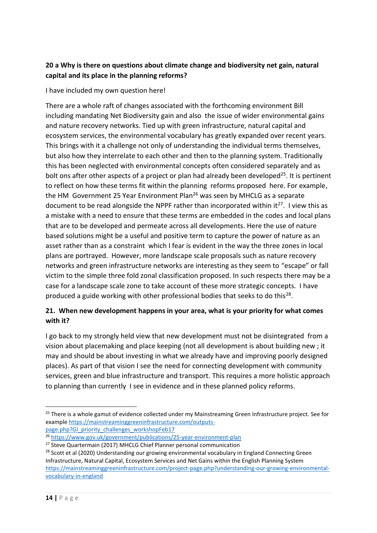## **20 a Why is there on questions about climate change and biodiversity net gain, natural capital and its place in the planning reforms?**

I have included my own question here!

There are a whole raft of changes associated with the forthcoming environment Bill including mandating Net Biodiversity gain and also the issue of wider environmental gains and nature recovery networks. Tied up with green infrastructure, natural capital and ecosystem services, the environmental vocabulary has greatly expanded over recent years. This brings with it a challenge not only of understanding the individual terms themselves, but also how they interrelate to each other and then to the planning system. Traditionally this has been neglected with environmental concepts often considered separately and as bolt ons after other aspects of a project or plan had already been developed<sup>25</sup>. It is pertinent to reflect on how these terms fit within the planning reforms proposed here. For example, the HM Government 25 Year Environment Plan<sup>26</sup> was seen by MHCLG as a separate document to be read alongside the NPPF rather than incorporated within it<sup>27</sup>. I view this as a mistake with a need to ensure that these terms are embedded in the codes and local plans that are to be developed and permeate across all developments. Here the use of nature based solutions might be a useful and positive term to capture the power of nature as an asset rather than as a constraint which I fear is evident in the way the three zones in local plans are portrayed. However, more landscape scale proposals such as nature recovery networks and green infrastructure networks are interesting as they seem to "escape" or fall victim to the simple three fold zonal classification proposed. In such respects there may be a case for a landscape scale zone to take account of these more strategic concepts. I have produced a guide working with other professional bodies that seeks to do this<sup>28</sup>.

## **21. When new development happens in your area, what is your priority for what comes with it?**

I go back to my strongly held view that new development must not be disintegrated from a vision about placemaking and place keeping (not all development is about building new ; it may and should be about investing in what we already have and improving poorly designed places). As part of that vision I see the need for connecting development with community services, green and blue infrastructure and transport. This requires a more holistic approach to planning than currently I see in evidence and in these planned policy reforms.

<sup>&</sup>lt;sup>25</sup> There is a whole gamut of evidence collected under my Mainstreaming Green Infrastructure project. See for example [https://mainstreaminggreeninfrastructure.com/outputs-](https://mainstreaminggreeninfrastructure.com/outputs-page.php?GI_priority_challenges_workshopFeb17)

[page.php?GI\\_priority\\_challenges\\_workshopFeb17](https://mainstreaminggreeninfrastructure.com/outputs-page.php?GI_priority_challenges_workshopFeb17)

<sup>26</sup> <https://www.gov.uk/government/publications/25-year-environment-plan>

<sup>&</sup>lt;sup>27</sup> Steve Quartermain (2017) MHCLG Chief Planner personal communication

<sup>&</sup>lt;sup>28</sup> Scott et al (2020) Understanding our growing environmental vocabulary in England Connecting Green Infrastructure, Natural Capital, Ecosystem Services and Net Gains within the English Planning System [https://mainstreaminggreeninfrastructure.com/project-page.php?understanding-our-growing-environmental](https://mainstreaminggreeninfrastructure.com/project-page.php?understanding-our-growing-environmental-vocabulary-in-england)[vocabulary-in-england](https://mainstreaminggreeninfrastructure.com/project-page.php?understanding-our-growing-environmental-vocabulary-in-england)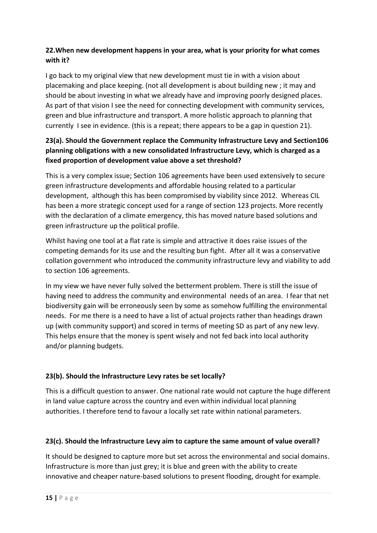## **22.When new development happens in your area, what is your priority for what comes with it?**

I go back to my original view that new development must tie in with a vision about placemaking and place keeping. (not all development is about building new ; it may and should be about investing in what we already have and improving poorly designed places. As part of that vision I see the need for connecting development with community services, green and blue infrastructure and transport. A more holistic approach to planning that currently I see in evidence. (this is a repeat; there appears to be a gap in question 21).

# **23(a). Should the Government replace the Community Infrastructure Levy and Section106 planning obligations with a new consolidated Infrastructure Levy, which is charged as a fixed proportion of development value above a set threshold?**

This is a very complex issue; Section 106 agreements have been used extensively to secure green infrastructure developments and affordable housing related to a particular development, although this has been compromised by viability since 2012. Whereas CIL has been a more strategic concept used for a range of section 123 projects. More recently with the declaration of a climate emergency, this has moved nature based solutions and green infrastructure up the political profile.

Whilst having one tool at a flat rate is simple and attractive it does raise issues of the competing demands for its use and the resulting bun fight. After all it was a conservative collation government who introduced the community infrastructure levy and viability to add to section 106 agreements.

In my view we have never fully solved the betterment problem. There is still the issue of having need to address the community and environmental needs of an area. I fear that net biodiversity gain will be erroneously seen by some as somehow fulfilling the environmental needs. For me there is a need to have a list of actual projects rather than headings drawn up (with community support) and scored in terms of meeting SD as part of any new levy. This helps ensure that the money is spent wisely and not fed back into local authority and/or planning budgets.

# **23(b). Should the Infrastructure Levy rates be set locally?**

This is a difficult question to answer. One national rate would not capture the huge different in land value capture across the country and even within individual local planning authorities. I therefore tend to favour a locally set rate within national parameters.

## **23(c). Should the Infrastructure Levy aim to capture the same amount of value overall?**

It should be designed to capture more but set across the environmental and social domains. Infrastructure is more than just grey; it is blue and green with the ability to create innovative and cheaper nature-based solutions to present flooding, drought for example.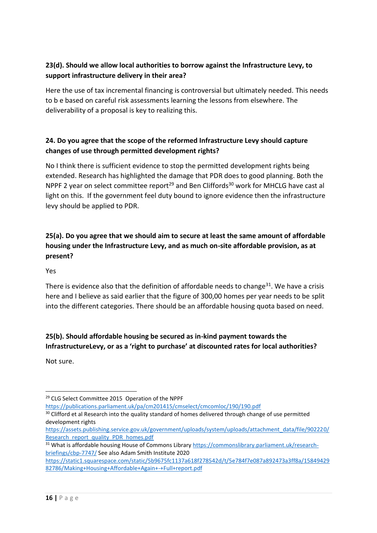## **23(d). Should we allow local authorities to borrow against the Infrastructure Levy, to support infrastructure delivery in their area?**

Here the use of tax incremental financing is controversial but ultimately needed. This needs to b e based on careful risk assessments learning the lessons from elsewhere. The deliverability of a proposal is key to realizing this.

## **24. Do you agree that the scope of the reformed Infrastructure Levy should capture changes of use through permitted development rights?**

No I think there is sufficient evidence to stop the permitted development rights being extended. Research has highlighted the damage that PDR does to good planning. Both the NPPF 2 year on select committee report<sup>29</sup> and Ben Cliffords<sup>30</sup> work for MHCLG have cast al light on this. If the government feel duty bound to ignore evidence then the infrastructure levy should be applied to PDR.

# **25(a). Do you agree that we should aim to secure at least the same amount of affordable housing under the Infrastructure Levy, and as much on-site affordable provision, as at present?**

#### Yes

There is evidence also that the definition of affordable needs to change<sup>31</sup>. We have a crisis here and I believe as said earlier that the figure of 300,00 homes per year needs to be split into the different categories. There should be an affordable housing quota based on need.

# **25(b). Should affordable housing be secured as in-kind payment towards the InfrastructureLevy, or as a 'right to purchase' at discounted rates for local authorities?**

Not sure.

<https://publications.parliament.uk/pa/cm201415/cmselect/cmcomloc/190/190.pdf>

<sup>29</sup> CLG Select Committee 2015 Operation of the NPPF

<sup>&</sup>lt;sup>30</sup> Clifford et al Research into the quality standard of homes delivered through change of use permitted development rights

[https://assets.publishing.service.gov.uk/government/uploads/system/uploads/attachment\\_data/file/902220/](https://assets.publishing.service.gov.uk/government/uploads/system/uploads/attachment_data/file/902220/Research_report_quality_PDR_homes.pdf) [Research\\_report\\_quality\\_PDR\\_homes.pdf](https://assets.publishing.service.gov.uk/government/uploads/system/uploads/attachment_data/file/902220/Research_report_quality_PDR_homes.pdf)

<sup>&</sup>lt;sup>31</sup> What is affordable housing House of Commons Librar[y https://commonslibrary.parliament.uk/research](https://commonslibrary.parliament.uk/research-briefings/cbp-7747/)[briefings/cbp-7747/](https://commonslibrary.parliament.uk/research-briefings/cbp-7747/) See also Adam Smith Institute 2020

[https://static1.squarespace.com/static/5b9675fc1137a618f278542d/t/5e784f7e087a892473a3ff8a/15849429](https://static1.squarespace.com/static/5b9675fc1137a618f278542d/t/5e784f7e087a892473a3ff8a/1584942982786/Making+Housing+Affordable+Again+-+Full+report.pdf) [82786/Making+Housing+Affordable+Again+-+Full+report.pdf](https://static1.squarespace.com/static/5b9675fc1137a618f278542d/t/5e784f7e087a892473a3ff8a/1584942982786/Making+Housing+Affordable+Again+-+Full+report.pdf)